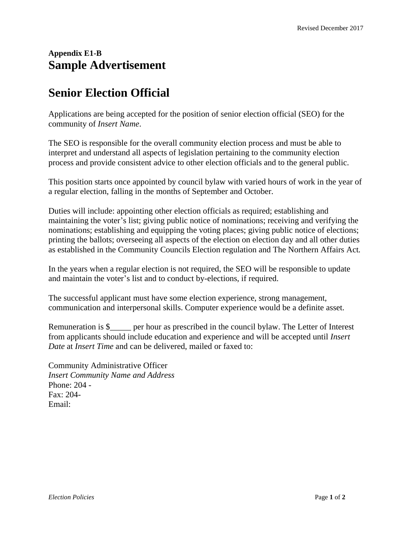## **Appendix E1-B Sample Advertisement**

## **Senior Election Official**

Applications are being accepted for the position of senior election official (SEO) for the community of *Insert Name*.

The SEO is responsible for the overall community election process and must be able to interpret and understand all aspects of legislation pertaining to the community election process and provide consistent advice to other election officials and to the general public.

This position starts once appointed by council bylaw with varied hours of work in the year of a regular election, falling in the months of September and October.

Duties will include: appointing other election officials as required; establishing and maintaining the voter's list; giving public notice of nominations; receiving and verifying the nominations; establishing and equipping the voting places; giving public notice of elections; printing the ballots; overseeing all aspects of the election on election day and all other duties as established in the Community Councils Election regulation and The Northern Affairs Act*.*

In the years when a regular election is not required, the SEO will be responsible to update and maintain the voter's list and to conduct by-elections, if required.

The successful applicant must have some election experience, strong management, communication and interpersonal skills. Computer experience would be a definite asset.

Remuneration is \$*\_\_\_\_\_* per hour as prescribed in the council bylaw. The Letter of Interest from applicants should include education and experience and will be accepted until *Insert Date* at *Insert Time* and can be delivered, mailed or faxed to:

Community Administrative Officer *Insert Community Name and Address* Phone: 204 - Fax: 204- Email: